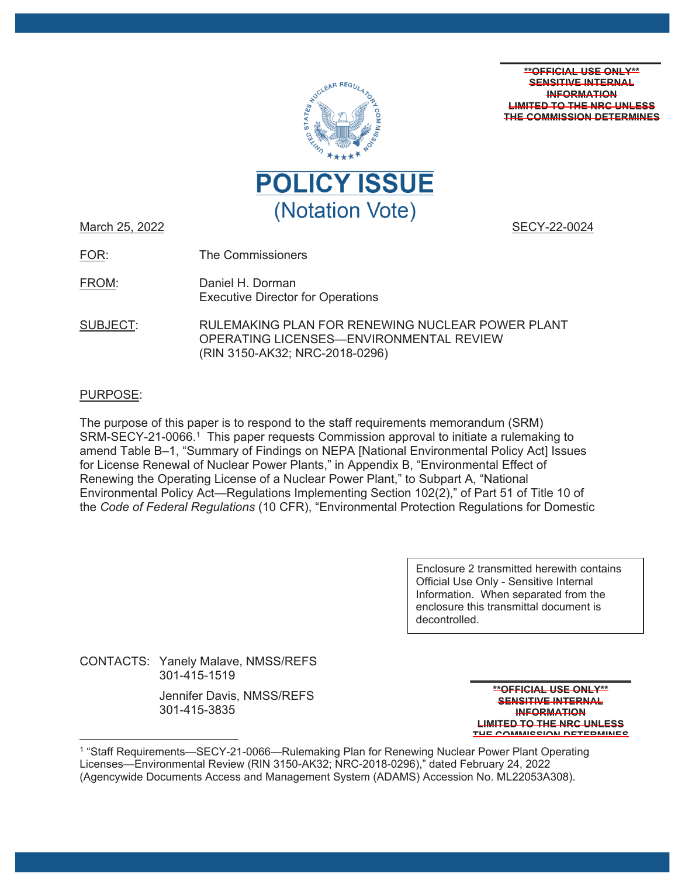

**\*\*OFFICIAL USE ONLY\*\* SENSITIVE INTERNAL INFORMATION LIMITED TO THE NRC UNLESS THE COMMISSION DETERMINES** 

March 25, 2022 **SECY-22-0024** 

FOR: The Commissioners

FROM: Daniel H. Dorman Executive Director for Operations

SUBJECT: RULEMAKING PLAN FOR RENEWING NUCLEAR POWER PLANT OPERATING LICENSES—ENVIRONMENTAL REVIEW (RIN 3150-AK32; NRC-2018-0296)

# PURPOSE:

The purpose of this paper is to respond to the staff requirements memorandum (SRM) SRM-SECY-21-0066.<sup>1</sup> This paper requests Commission approval to initiate a rulemaking to amend Table B–1, "Summary of Findings on NEPA [National Environmental Policy Act] Issues for License Renewal of Nuclear Power Plants," in Appendix B, "Environmental Effect of Renewing the Operating License of a Nuclear Power Plant," to Subpart A, "National Environmental Policy Act—Regulations Implementing Section 102(2)," of Part 51 of Title 10 of the *Code of Federal Regulations* (10 CFR), "Environmental Protection Regulations for Domestic

> Enclosure 2 transmitted herewith contains Official Use Only - Sensitive Internal Information. When separated from the enclosure this transmittal document is decontrolled.

CONTACTS: Yanely Malave, NMSS/REFS 301-415-1519

> Jennifer Davis, NMSS/REFS 301-415-3835

**\*\*OFFICIAL USE ONLY\*\* SENSITIVE INTERNAL INFORMATION LIMITED TO THE NRC UNLESS THE COMMISSION DETERMINES**

<sup>1 &</sup>quot;Staff Requirements—SECY-21-0066—Rulemaking Plan for Renewing Nuclear Power Plant Operating Licenses—Environmental Review (RIN 3150-AK32; NRC-2018-0296)," dated February 24, 2022 (Agencywide Documents Access and Management System (ADAMS) Accession No. ML22053A308).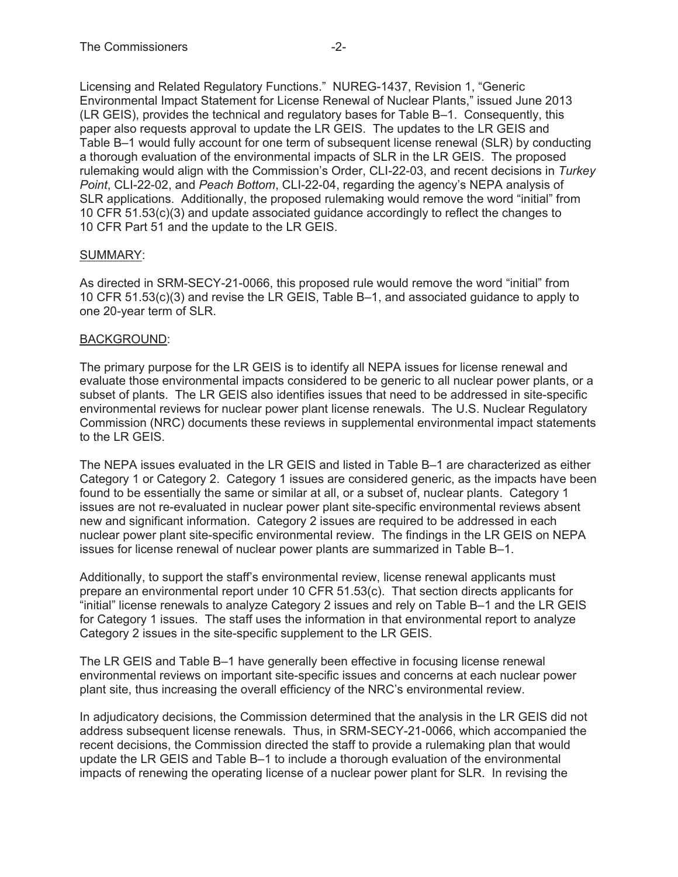Licensing and Related Regulatory Functions." NUREG-1437, Revision 1, "Generic Environmental Impact Statement for License Renewal of Nuclear Plants," issued June 2013 (LR GEIS), provides the technical and regulatory bases for Table B–1. Consequently, this paper also requests approval to update the LR GEIS. The updates to the LR GEIS and Table B–1 would fully account for one term of subsequent license renewal (SLR) by conducting a thorough evaluation of the environmental impacts of SLR in the LR GEIS. The proposed rulemaking would align with the Commission's Order, CLI-22-03, and recent decisions in *Turkey Point*, CLI-22-02, and *Peach Bottom*, CLI-22-04, regarding the agency's NEPA analysis of SLR applications. Additionally, the proposed rulemaking would remove the word "initial" from 10 CFR 51.53(c)(3) and update associated guidance accordingly to reflect the changes to 10 CFR Part 51 and the update to the LR GEIS.

## SUMMARY:

As directed in SRM-SECY-21-0066, this proposed rule would remove the word "initial" from 10 CFR 51.53(c)(3) and revise the LR GEIS, Table B–1, and associated guidance to apply to one 20-year term of SLR.

## BACKGROUND:

The primary purpose for the LR GEIS is to identify all NEPA issues for license renewal and evaluate those environmental impacts considered to be generic to all nuclear power plants, or a subset of plants. The LR GEIS also identifies issues that need to be addressed in site-specific environmental reviews for nuclear power plant license renewals. The U.S. Nuclear Regulatory Commission (NRC) documents these reviews in supplemental environmental impact statements to the LR GEIS.

The NEPA issues evaluated in the LR GEIS and listed in Table B–1 are characterized as either Category 1 or Category 2. Category 1 issues are considered generic, as the impacts have been found to be essentially the same or similar at all, or a subset of, nuclear plants. Category 1 issues are not re-evaluated in nuclear power plant site-specific environmental reviews absent new and significant information. Category 2 issues are required to be addressed in each nuclear power plant site-specific environmental review. The findings in the LR GEIS on NEPA issues for license renewal of nuclear power plants are summarized in Table B–1.

Additionally, to support the staff's environmental review, license renewal applicants must prepare an environmental report under 10 CFR 51.53(c). That section directs applicants for "initial" license renewals to analyze Category 2 issues and rely on Table B–1 and the LR GEIS for Category 1 issues. The staff uses the information in that environmental report to analyze Category 2 issues in the site-specific supplement to the LR GEIS.

The LR GEIS and Table B–1 have generally been effective in focusing license renewal environmental reviews on important site-specific issues and concerns at each nuclear power plant site, thus increasing the overall efficiency of the NRC's environmental review.

In adjudicatory decisions, the Commission determined that the analysis in the LR GEIS did not address subsequent license renewals. Thus, in SRM-SECY-21-0066, which accompanied the recent decisions, the Commission directed the staff to provide a rulemaking plan that would update the LR GEIS and Table B–1 to include a thorough evaluation of the environmental impacts of renewing the operating license of a nuclear power plant for SLR. In revising the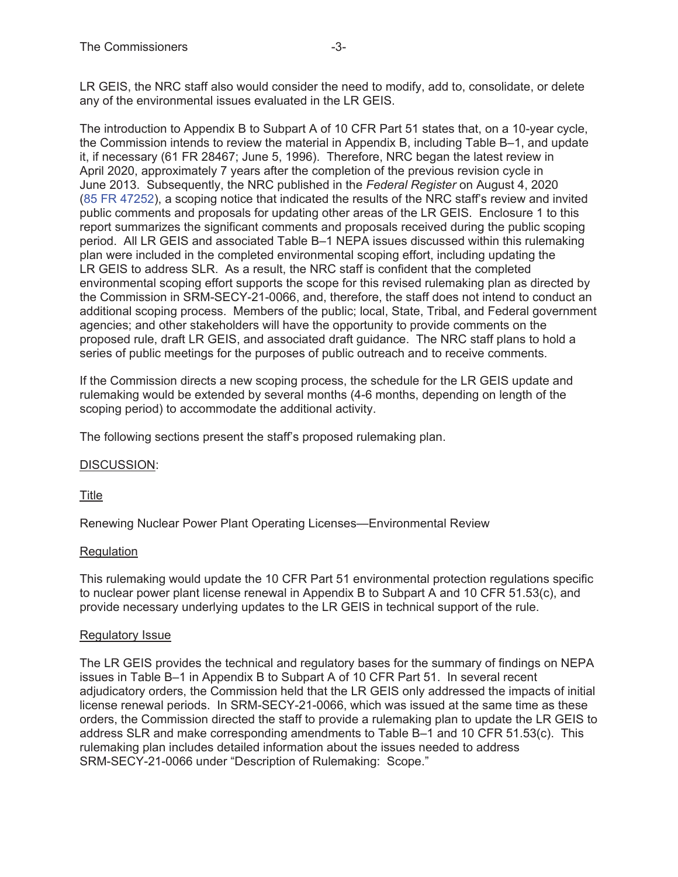LR GEIS, the NRC staff also would consider the need to modify, add to, consolidate, or delete any of the environmental issues evaluated in the LR GEIS.

The introduction to Appendix B to Subpart A of 10 CFR Part 51 states that, on a 10-year cycle, the Commission intends to review the material in Appendix B, including Table B–1, and update it, if necessary (61 FR 28467; June 5, 1996). Therefore, NRC began the latest review in April 2020, approximately 7 years after the completion of the previous revision cycle in June 2013. Subsequently, the NRC published in the *Federal Register* on August 4, 2020 (85 FR 47252), a scoping notice that indicated the results of the NRC staff's review and invited public comments and proposals for updating other areas of the LR GEIS. Enclosure 1 to this report summarizes the significant comments and proposals received during the public scoping period. All LR GEIS and associated Table B–1 NEPA issues discussed within this rulemaking plan were included in the completed environmental scoping effort, including updating the LR GEIS to address SLR. As a result, the NRC staff is confident that the completed environmental scoping effort supports the scope for this revised rulemaking plan as directed by the Commission in SRM-SECY-21-0066, and, therefore, the staff does not intend to conduct an additional scoping process. Members of the public; local, State, Tribal, and Federal government agencies; and other stakeholders will have the opportunity to provide comments on the proposed rule, draft LR GEIS, and associated draft guidance. The NRC staff plans to hold a series of public meetings for the purposes of public outreach and to receive comments.

If the Commission directs a new scoping process, the schedule for the LR GEIS update and rulemaking would be extended by several months (4-6 months, depending on length of the scoping period) to accommodate the additional activity.

The following sections present the staff's proposed rulemaking plan.

## DISCUSSION:

Title

Renewing Nuclear Power Plant Operating Licenses—Environmental Review

#### **Regulation**

This rulemaking would update the 10 CFR Part 51 environmental protection regulations specific to nuclear power plant license renewal in Appendix B to Subpart A and 10 CFR 51.53(c), and provide necessary underlying updates to the LR GEIS in technical support of the rule.

#### Regulatory Issue

The LR GEIS provides the technical and regulatory bases for the summary of findings on NEPA issues in Table B–1 in Appendix B to Subpart A of 10 CFR Part 51. In several recent adjudicatory orders, the Commission held that the LR GEIS only addressed the impacts of initial license renewal periods. In SRM-SECY-21-0066, which was issued at the same time as these orders, the Commission directed the staff to provide a rulemaking plan to update the LR GEIS to address SLR and make corresponding amendments to Table B–1 and 10 CFR 51.53(c). This rulemaking plan includes detailed information about the issues needed to address SRM-SECY-21-0066 under "Description of Rulemaking: Scope."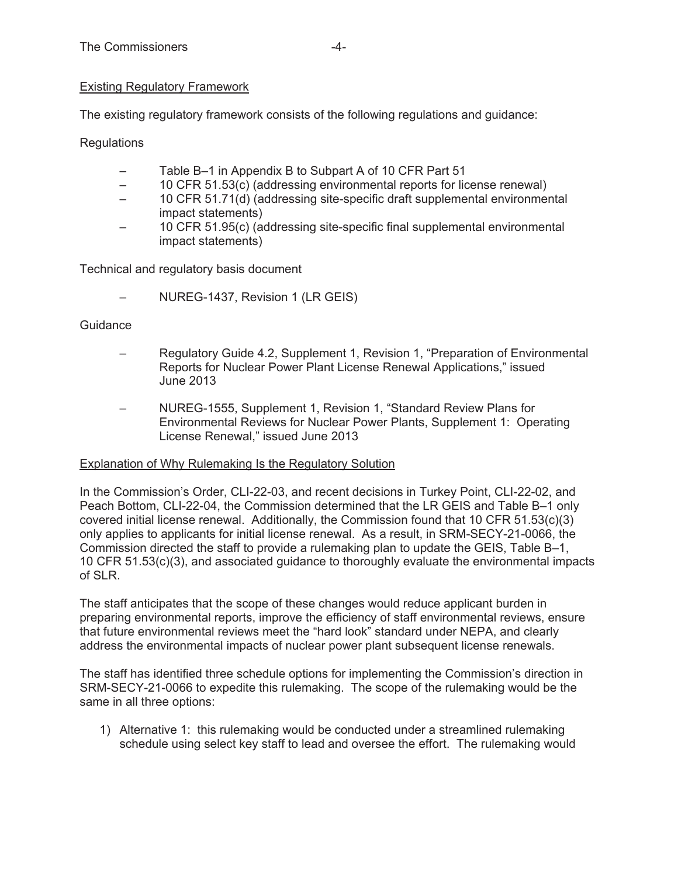# Existing Regulatory Framework

The existing regulatory framework consists of the following regulations and guidance:

Regulations

- Table B–1 in Appendix B to Subpart A of 10 CFR Part 51
- 10 CFR 51.53(c) (addressing environmental reports for license renewal)
- 10 CFR 51.71(d) (addressing site-specific draft supplemental environmental impact statements)
- 10 CFR 51.95(c) (addressing site-specific final supplemental environmental impact statements)

Technical and regulatory basis document

– NUREG-1437, Revision 1 (LR GEIS)

#### **Guidance**

- Regulatory Guide 4.2, Supplement 1, Revision 1, "Preparation of Environmental Reports for Nuclear Power Plant License Renewal Applications," issued June 2013
- NUREG-1555, Supplement 1, Revision 1, "Standard Review Plans for Environmental Reviews for Nuclear Power Plants, Supplement 1: Operating License Renewal," issued June 2013

## Explanation of Why Rulemaking Is the Regulatory Solution

In the Commission's Order, CLI-22-03, and recent decisions in Turkey Point, CLI-22-02, and Peach Bottom, CLI-22-04, the Commission determined that the LR GEIS and Table B–1 only covered initial license renewal. Additionally, the Commission found that 10 CFR 51.53(c)(3) only applies to applicants for initial license renewal. As a result, in SRM-SECY-21-0066, the Commission directed the staff to provide a rulemaking plan to update the GEIS, Table B–1, 10 CFR 51.53(c)(3), and associated guidance to thoroughly evaluate the environmental impacts of SLR.

The staff anticipates that the scope of these changes would reduce applicant burden in preparing environmental reports, improve the efficiency of staff environmental reviews, ensure that future environmental reviews meet the "hard look" standard under NEPA, and clearly address the environmental impacts of nuclear power plant subsequent license renewals.

The staff has identified three schedule options for implementing the Commission's direction in SRM-SECY-21-0066 to expedite this rulemaking. The scope of the rulemaking would be the same in all three options:

1) Alternative 1: this rulemaking would be conducted under a streamlined rulemaking schedule using select key staff to lead and oversee the effort. The rulemaking would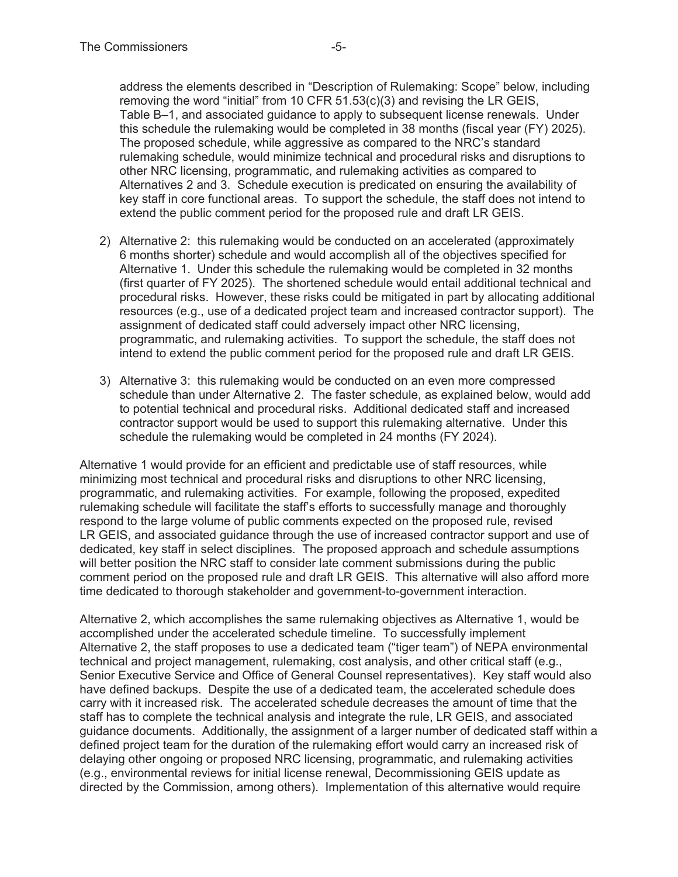address the elements described in "Description of Rulemaking: Scope" below, including removing the word "initial" from 10 CFR 51.53(c)(3) and revising the LR GEIS, Table B–1, and associated guidance to apply to subsequent license renewals. Under this schedule the rulemaking would be completed in 38 months (fiscal year (FY) 2025). The proposed schedule, while aggressive as compared to the NRC's standard rulemaking schedule, would minimize technical and procedural risks and disruptions to other NRC licensing, programmatic, and rulemaking activities as compared to Alternatives 2 and 3. Schedule execution is predicated on ensuring the availability of key staff in core functional areas. To support the schedule, the staff does not intend to extend the public comment period for the proposed rule and draft LR GEIS.

- 2) Alternative 2: this rulemaking would be conducted on an accelerated (approximately 6 months shorter) schedule and would accomplish all of the objectives specified for Alternative 1. Under this schedule the rulemaking would be completed in 32 months (first quarter of FY 2025). The shortened schedule would entail additional technical and procedural risks. However, these risks could be mitigated in part by allocating additional resources (e.g., use of a dedicated project team and increased contractor support). The assignment of dedicated staff could adversely impact other NRC licensing, programmatic, and rulemaking activities. To support the schedule, the staff does not intend to extend the public comment period for the proposed rule and draft LR GEIS.
- 3) Alternative 3: this rulemaking would be conducted on an even more compressed schedule than under Alternative 2. The faster schedule, as explained below, would add to potential technical and procedural risks. Additional dedicated staff and increased contractor support would be used to support this rulemaking alternative. Under this schedule the rulemaking would be completed in 24 months (FY 2024).

Alternative 1 would provide for an efficient and predictable use of staff resources, while minimizing most technical and procedural risks and disruptions to other NRC licensing, programmatic, and rulemaking activities. For example, following the proposed, expedited rulemaking schedule will facilitate the staff's efforts to successfully manage and thoroughly respond to the large volume of public comments expected on the proposed rule, revised LR GEIS, and associated guidance through the use of increased contractor support and use of dedicated, key staff in select disciplines. The proposed approach and schedule assumptions will better position the NRC staff to consider late comment submissions during the public comment period on the proposed rule and draft LR GEIS. This alternative will also afford more time dedicated to thorough stakeholder and government-to-government interaction.

Alternative 2, which accomplishes the same rulemaking objectives as Alternative 1, would be accomplished under the accelerated schedule timeline. To successfully implement Alternative 2, the staff proposes to use a dedicated team ("tiger team") of NEPA environmental technical and project management, rulemaking, cost analysis, and other critical staff (e.g., Senior Executive Service and Office of General Counsel representatives). Key staff would also have defined backups. Despite the use of a dedicated team, the accelerated schedule does carry with it increased risk. The accelerated schedule decreases the amount of time that the staff has to complete the technical analysis and integrate the rule, LR GEIS, and associated guidance documents. Additionally, the assignment of a larger number of dedicated staff within a defined project team for the duration of the rulemaking effort would carry an increased risk of delaying other ongoing or proposed NRC licensing, programmatic, and rulemaking activities (e.g., environmental reviews for initial license renewal, Decommissioning GEIS update as directed by the Commission, among others). Implementation of this alternative would require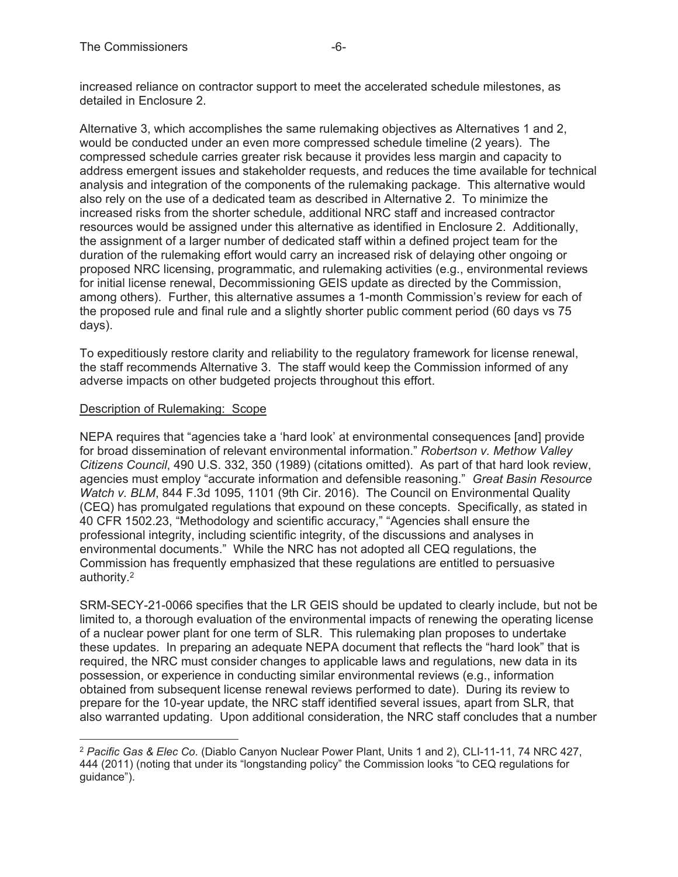increased reliance on contractor support to meet the accelerated schedule milestones, as detailed in Enclosure 2.

Alternative 3, which accomplishes the same rulemaking objectives as Alternatives 1 and 2, would be conducted under an even more compressed schedule timeline (2 years). The compressed schedule carries greater risk because it provides less margin and capacity to address emergent issues and stakeholder requests, and reduces the time available for technical analysis and integration of the components of the rulemaking package. This alternative would also rely on the use of a dedicated team as described in Alternative 2. To minimize the increased risks from the shorter schedule, additional NRC staff and increased contractor resources would be assigned under this alternative as identified in Enclosure 2. Additionally, the assignment of a larger number of dedicated staff within a defined project team for the duration of the rulemaking effort would carry an increased risk of delaying other ongoing or proposed NRC licensing, programmatic, and rulemaking activities (e.g., environmental reviews for initial license renewal, Decommissioning GEIS update as directed by the Commission, among others). Further, this alternative assumes a 1-month Commission's review for each of the proposed rule and final rule and a slightly shorter public comment period (60 days vs 75 days).

To expeditiously restore clarity and reliability to the regulatory framework for license renewal, the staff recommends Alternative 3. The staff would keep the Commission informed of any adverse impacts on other budgeted projects throughout this effort.

## Description of Rulemaking: Scope

NEPA requires that "agencies take a 'hard look' at environmental consequences [and] provide for broad dissemination of relevant environmental information." *Robertson v. Methow Valley Citizens Council*, 490 U.S. 332, 350 (1989) (citations omitted). As part of that hard look review, agencies must employ "accurate information and defensible reasoning." *Great Basin Resource Watch v. BLM*, 844 F.3d 1095, 1101 (9th Cir. 2016). The Council on Environmental Quality (CEQ) has promulgated regulations that expound on these concepts. Specifically, as stated in 40 CFR 1502.23, "Methodology and scientific accuracy," "Agencies shall ensure the professional integrity, including scientific integrity, of the discussions and analyses in environmental documents." While the NRC has not adopted all CEQ regulations, the Commission has frequently emphasized that these regulations are entitled to persuasive authority.2

SRM-SECY-21-0066 specifies that the LR GEIS should be updated to clearly include, but not be limited to, a thorough evaluation of the environmental impacts of renewing the operating license of a nuclear power plant for one term of SLR. This rulemaking plan proposes to undertake these updates. In preparing an adequate NEPA document that reflects the "hard look" that is required, the NRC must consider changes to applicable laws and regulations, new data in its possession, or experience in conducting similar environmental reviews (e.g., information obtained from subsequent license renewal reviews performed to date). During its review to prepare for the 10-year update, the NRC staff identified several issues, apart from SLR, that also warranted updating. Upon additional consideration, the NRC staff concludes that a number

<sup>2</sup> *Pacific Gas & Elec Co*. (Diablo Canyon Nuclear Power Plant, Units 1 and 2), CLI-11-11, 74 NRC 427, 444 (2011) (noting that under its "longstanding policy" the Commission looks "to CEQ regulations for guidance").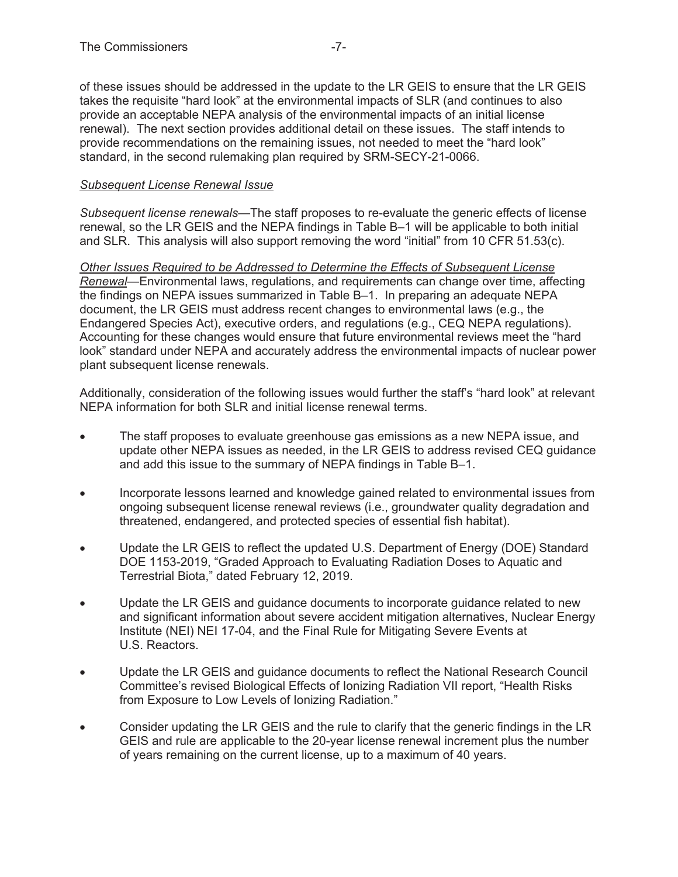of these issues should be addressed in the update to the LR GEIS to ensure that the LR GEIS takes the requisite "hard look" at the environmental impacts of SLR (and continues to also provide an acceptable NEPA analysis of the environmental impacts of an initial license renewal). The next section provides additional detail on these issues. The staff intends to provide recommendations on the remaining issues, not needed to meet the "hard look" standard, in the second rulemaking plan required by SRM-SECY-21-0066.

# *Subsequent License Renewal Issue*

*Subsequent license renewals*—The staff proposes to re-evaluate the generic effects of license renewal, so the LR GEIS and the NEPA findings in Table B–1 will be applicable to both initial and SLR. This analysis will also support removing the word "initial" from 10 CFR 51.53(c).

*Other Issues Required to be Addressed to Determine the Effects of Subsequent License Renewal*—Environmental laws, regulations, and requirements can change over time, affecting the findings on NEPA issues summarized in Table B–1. In preparing an adequate NEPA document, the LR GEIS must address recent changes to environmental laws (e.g., the Endangered Species Act), executive orders, and regulations (e.g., CEQ NEPA regulations). Accounting for these changes would ensure that future environmental reviews meet the "hard look" standard under NEPA and accurately address the environmental impacts of nuclear power plant subsequent license renewals.

Additionally, consideration of the following issues would further the staff's "hard look" at relevant NEPA information for both SLR and initial license renewal terms.

- The staff proposes to evaluate greenhouse gas emissions as a new NEPA issue, and update other NEPA issues as needed, in the LR GEIS to address revised CEQ guidance and add this issue to the summary of NEPA findings in Table B–1.
- Incorporate lessons learned and knowledge gained related to environmental issues from ongoing subsequent license renewal reviews (i.e., groundwater quality degradation and threatened, endangered, and protected species of essential fish habitat).
- Update the LR GEIS to reflect the updated U.S. Department of Energy (DOE) Standard DOE 1153-2019, "Graded Approach to Evaluating Radiation Doses to Aquatic and Terrestrial Biota," dated February 12, 2019.
- Update the LR GEIS and guidance documents to incorporate guidance related to new and significant information about severe accident mitigation alternatives, Nuclear Energy Institute (NEI) NEI 17-04, and the Final Rule for Mitigating Severe Events at U.S. Reactors.
- Update the LR GEIS and guidance documents to reflect the National Research Council Committee's revised Biological Effects of Ionizing Radiation VII report, "Health Risks from Exposure to Low Levels of Ionizing Radiation."
- Consider updating the LR GEIS and the rule to clarify that the generic findings in the LR GEIS and rule are applicable to the 20-year license renewal increment plus the number of years remaining on the current license, up to a maximum of 40 years.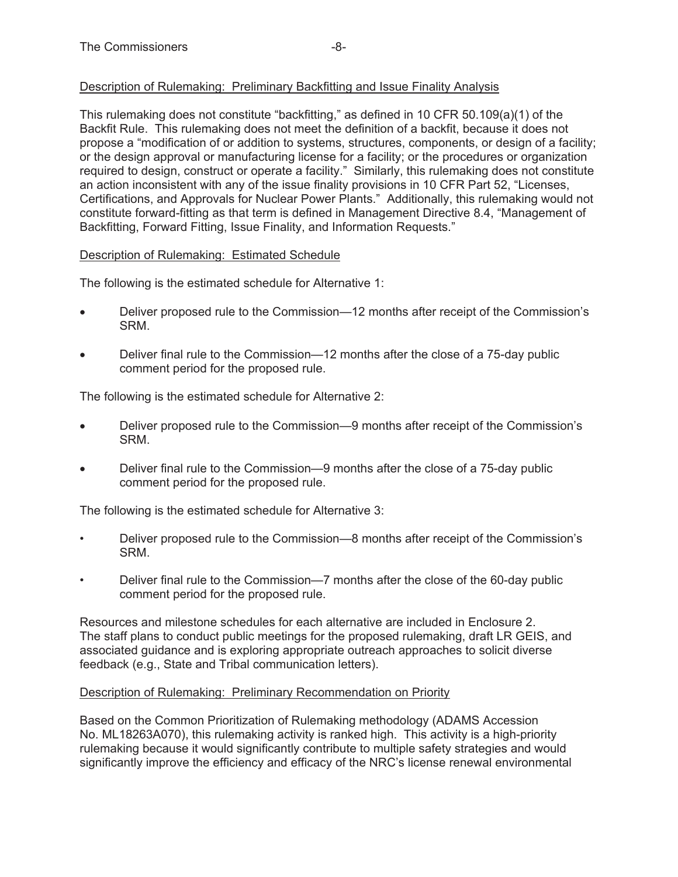## Description of Rulemaking: Preliminary Backfitting and Issue Finality Analysis

This rulemaking does not constitute "backfitting," as defined in 10 CFR 50.109(a)(1) of the Backfit Rule. This rulemaking does not meet the definition of a backfit, because it does not propose a "modification of or addition to systems, structures, components, or design of a facility; or the design approval or manufacturing license for a facility; or the procedures or organization required to design, construct or operate a facility." Similarly, this rulemaking does not constitute an action inconsistent with any of the issue finality provisions in 10 CFR Part 52, "Licenses, Certifications, and Approvals for Nuclear Power Plants." Additionally, this rulemaking would not constitute forward-fitting as that term is defined in Management Directive 8.4, "Management of Backfitting, Forward Fitting, Issue Finality, and Information Requests."

## Description of Rulemaking: Estimated Schedule

The following is the estimated schedule for Alternative 1:

- Deliver proposed rule to the Commission—12 months after receipt of the Commission's SRM.
- Deliver final rule to the Commission—12 months after the close of a 75-day public comment period for the proposed rule.

The following is the estimated schedule for Alternative 2:

- Deliver proposed rule to the Commission—9 months after receipt of the Commission's **SRM**
- Deliver final rule to the Commission—9 months after the close of a 75-day public comment period for the proposed rule.

The following is the estimated schedule for Alternative 3:

- Deliver proposed rule to the Commission—8 months after receipt of the Commission's SRM.
- Deliver final rule to the Commission—7 months after the close of the 60-day public comment period for the proposed rule.

Resources and milestone schedules for each alternative are included in Enclosure 2. The staff plans to conduct public meetings for the proposed rulemaking, draft LR GEIS, and associated guidance and is exploring appropriate outreach approaches to solicit diverse feedback (e.g., State and Tribal communication letters).

## Description of Rulemaking: Preliminary Recommendation on Priority

Based on the Common Prioritization of Rulemaking methodology (ADAMS Accession No. ML18263A070), this rulemaking activity is ranked high. This activity is a high-priority rulemaking because it would significantly contribute to multiple safety strategies and would significantly improve the efficiency and efficacy of the NRC's license renewal environmental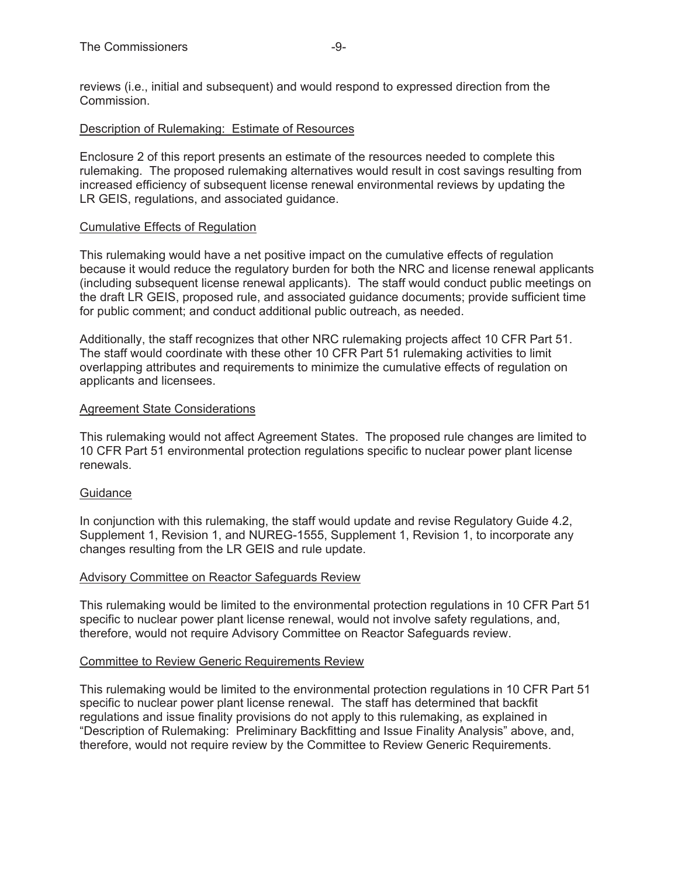reviews (i.e., initial and subsequent) and would respond to expressed direction from the Commission.

#### Description of Rulemaking: Estimate of Resources

Enclosure 2 of this report presents an estimate of the resources needed to complete this rulemaking. The proposed rulemaking alternatives would result in cost savings resulting from increased efficiency of subsequent license renewal environmental reviews by updating the LR GEIS, regulations, and associated guidance.

#### Cumulative Effects of Regulation

This rulemaking would have a net positive impact on the cumulative effects of regulation because it would reduce the regulatory burden for both the NRC and license renewal applicants (including subsequent license renewal applicants). The staff would conduct public meetings on the draft LR GEIS, proposed rule, and associated guidance documents; provide sufficient time for public comment; and conduct additional public outreach, as needed.

Additionally, the staff recognizes that other NRC rulemaking projects affect 10 CFR Part 51. The staff would coordinate with these other 10 CFR Part 51 rulemaking activities to limit overlapping attributes and requirements to minimize the cumulative effects of regulation on applicants and licensees.

#### Agreement State Considerations

This rulemaking would not affect Agreement States. The proposed rule changes are limited to 10 CFR Part 51 environmental protection regulations specific to nuclear power plant license renewals.

## Guidance

In conjunction with this rulemaking, the staff would update and revise Regulatory Guide 4.2, Supplement 1, Revision 1, and NUREG-1555, Supplement 1, Revision 1, to incorporate any changes resulting from the LR GEIS and rule update.

#### Advisory Committee on Reactor Safeguards Review

This rulemaking would be limited to the environmental protection regulations in 10 CFR Part 51 specific to nuclear power plant license renewal, would not involve safety regulations, and, therefore, would not require Advisory Committee on Reactor Safeguards review.

#### Committee to Review Generic Requirements Review

This rulemaking would be limited to the environmental protection regulations in 10 CFR Part 51 specific to nuclear power plant license renewal. The staff has determined that backfit regulations and issue finality provisions do not apply to this rulemaking, as explained in "Description of Rulemaking: Preliminary Backfitting and Issue Finality Analysis" above, and, therefore, would not require review by the Committee to Review Generic Requirements.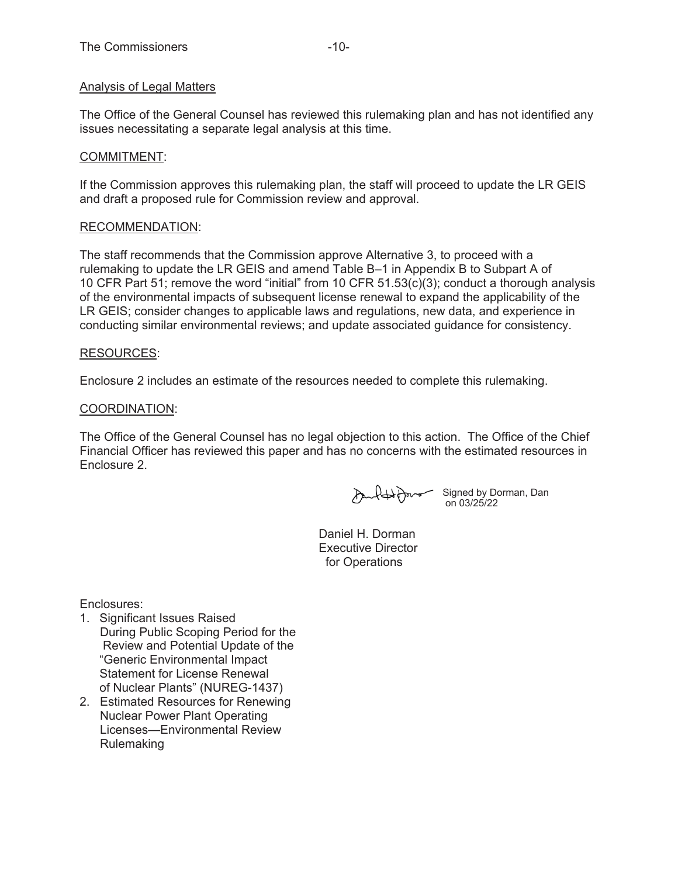# Analysis of Legal Matters

The Office of the General Counsel has reviewed this rulemaking plan and has not identified any issues necessitating a separate legal analysis at this time.

## COMMITMENT:

If the Commission approves this rulemaking plan, the staff will proceed to update the LR GEIS and draft a proposed rule for Commission review and approval.

#### RECOMMENDATION:

The staff recommends that the Commission approve Alternative 3, to proceed with a rulemaking to update the LR GEIS and amend Table B–1 in Appendix B to Subpart A of 10 CFR Part 51; remove the word "initial" from 10 CFR 51.53(c)(3); conduct a thorough analysis of the environmental impacts of subsequent license renewal to expand the applicability of the LR GEIS; consider changes to applicable laws and regulations, new data, and experience in conducting similar environmental reviews; and update associated guidance for consistency.

#### RESOURCES:

Enclosure 2 includes an estimate of the resources needed to complete this rulemaking.

#### COORDINATION:

The Office of the General Counsel has no legal objection to this action. The Office of the Chief Financial Officer has reviewed this paper and has no concerns with the estimated resources in Enclosure 2.

Signed by Dorman, Dan on 03/25/22

Daniel H. Dorman Executive Director

for Operations

Enclosures:

- 1. Significant Issues Raised During Public Scoping Period for the Review and Potential Update of the "Generic Environmental Impact Statement for License Renewal of Nuclear Plants" (NUREG-1437)
- 2. Estimated Resources for Renewing Nuclear Power Plant Operating Licenses—Environmental Review Rulemaking